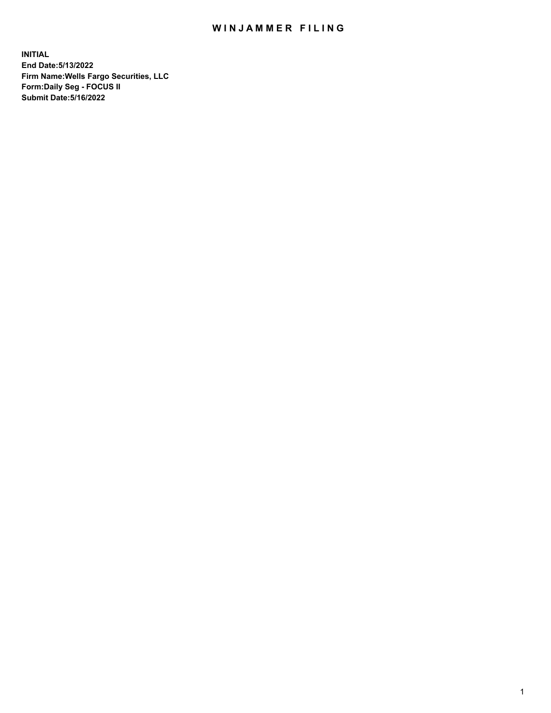## WIN JAMMER FILING

**INITIAL End Date:5/13/2022 Firm Name:Wells Fargo Securities, LLC Form:Daily Seg - FOCUS II Submit Date:5/16/2022**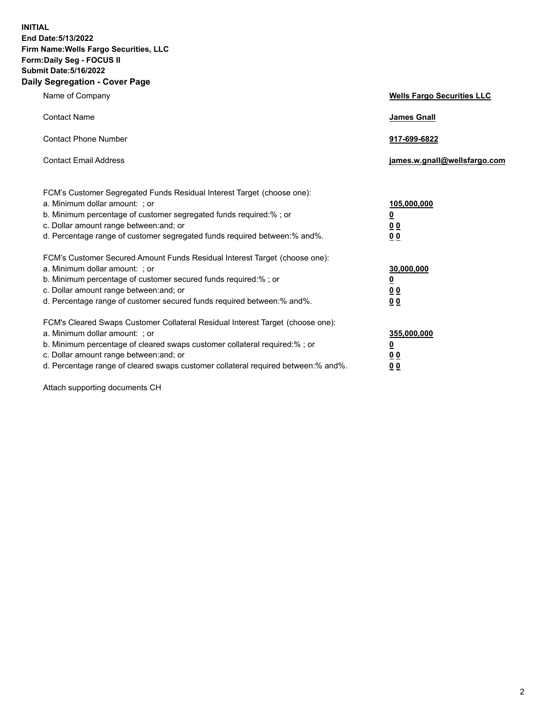**INITIAL End Date:5/13/2022 Firm Name:Wells Fargo Securities, LLC Form:Daily Seg - FOCUS II Submit Date:5/16/2022 Daily Segregation - Cover Page**

| Name of Company                                                                                                                                                                                                                                                                                                                | <b>Wells Fargo Securities LLC</b>                          |
|--------------------------------------------------------------------------------------------------------------------------------------------------------------------------------------------------------------------------------------------------------------------------------------------------------------------------------|------------------------------------------------------------|
| <b>Contact Name</b>                                                                                                                                                                                                                                                                                                            | <b>James Gnall</b>                                         |
| <b>Contact Phone Number</b>                                                                                                                                                                                                                                                                                                    | 917-699-6822                                               |
| <b>Contact Email Address</b>                                                                                                                                                                                                                                                                                                   | james.w.gnall@wellsfargo.com                               |
| FCM's Customer Segregated Funds Residual Interest Target (choose one):<br>a. Minimum dollar amount: ; or<br>b. Minimum percentage of customer segregated funds required:% ; or<br>c. Dollar amount range between: and; or<br>d. Percentage range of customer segregated funds required between: % and %.                       | 105,000,000<br><u>0</u><br><u>00</u><br>0 <sub>0</sub>     |
| FCM's Customer Secured Amount Funds Residual Interest Target (choose one):<br>a. Minimum dollar amount: ; or<br>b. Minimum percentage of customer secured funds required:% ; or<br>c. Dollar amount range between: and; or<br>d. Percentage range of customer secured funds required between: % and %.                         | 30,000,000<br><u>0</u><br>0 <sub>0</sub><br>0 <sub>0</sub> |
| FCM's Cleared Swaps Customer Collateral Residual Interest Target (choose one):<br>a. Minimum dollar amount: ; or<br>b. Minimum percentage of cleared swaps customer collateral required:% ; or<br>c. Dollar amount range between: and; or<br>d. Percentage range of cleared swaps customer collateral required between:% and%. | 355,000,000<br><u>0</u><br>00<br><u>00</u>                 |

Attach supporting documents CH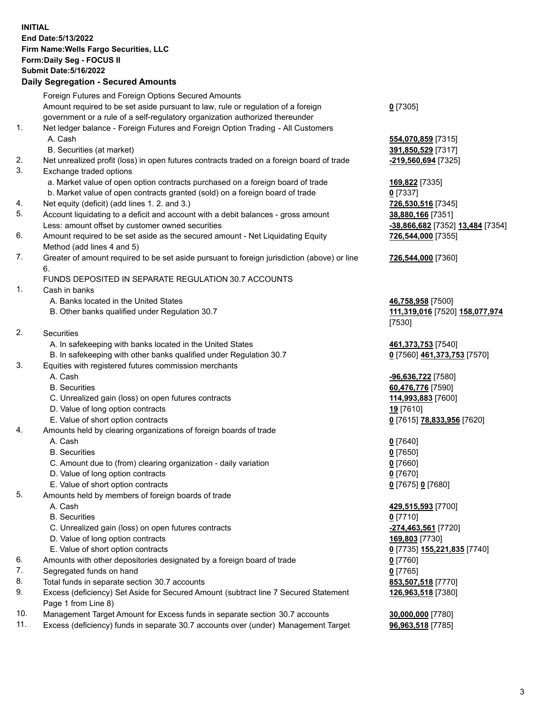**INITIAL End Date:5/13/2022 Firm Name:Wells Fargo Securities, LLC Form:Daily Seg - FOCUS II Submit Date:5/16/2022**

## **Daily Segregation - Secured Amounts**

|                | Foreign Futures and Foreign Options Secured Amounts                                                          |                                  |
|----------------|--------------------------------------------------------------------------------------------------------------|----------------------------------|
|                | Amount required to be set aside pursuant to law, rule or regulation of a foreign                             | $0$ [7305]                       |
|                | government or a rule of a self-regulatory organization authorized thereunder                                 |                                  |
| 1.             | Net ledger balance - Foreign Futures and Foreign Option Trading - All Customers                              |                                  |
|                | A. Cash                                                                                                      | 554,070,859 [7315]               |
|                | B. Securities (at market)                                                                                    | 391,850,529 [7317]               |
| 2.             | Net unrealized profit (loss) in open futures contracts traded on a foreign board of trade                    | -219,560,694 [7325]              |
| 3.             | Exchange traded options                                                                                      |                                  |
|                | a. Market value of open option contracts purchased on a foreign board of trade                               | 169,822 [7335]                   |
|                | b. Market value of open contracts granted (sold) on a foreign board of trade                                 | $0$ [7337]                       |
| 4.             | Net equity (deficit) (add lines 1. 2. and 3.)                                                                | 726,530,516 [7345]               |
| 5.             | Account liquidating to a deficit and account with a debit balances - gross amount                            | 38,880,166 [7351]                |
|                |                                                                                                              |                                  |
| 6.             | Less: amount offset by customer owned securities                                                             | -38,866,682 [7352] 13,484 [7354] |
|                | Amount required to be set aside as the secured amount - Net Liquidating Equity<br>Method (add lines 4 and 5) | 726,544,000 [7355]               |
| 7.             | Greater of amount required to be set aside pursuant to foreign jurisdiction (above) or line                  | 726,544,000 [7360]               |
|                | 6.                                                                                                           |                                  |
|                | FUNDS DEPOSITED IN SEPARATE REGULATION 30.7 ACCOUNTS                                                         |                                  |
| 1.             | Cash in banks                                                                                                |                                  |
|                | A. Banks located in the United States                                                                        | 46,758,958 [7500]                |
|                | B. Other banks qualified under Regulation 30.7                                                               | 111,319,016 [7520] 158,077,974   |
|                |                                                                                                              | [7530]                           |
| 2.             | <b>Securities</b>                                                                                            |                                  |
|                | A. In safekeeping with banks located in the United States                                                    | 461, 373, 753 [7540]             |
|                | B. In safekeeping with other banks qualified under Regulation 30.7                                           | 0 [7560] 461,373,753 [7570]      |
| 3.             | Equities with registered futures commission merchants                                                        |                                  |
|                | A. Cash                                                                                                      | -96,636,722 [7580]               |
|                | <b>B.</b> Securities                                                                                         | 60,476,776 [7590]                |
|                | C. Unrealized gain (loss) on open futures contracts                                                          | 114,993,883 [7600]               |
|                | D. Value of long option contracts                                                                            | 19 [7610]                        |
|                | E. Value of short option contracts                                                                           | 0 [7615] 78,833,956 [7620]       |
| 4.             | Amounts held by clearing organizations of foreign boards of trade                                            |                                  |
|                | A. Cash                                                                                                      |                                  |
|                | <b>B.</b> Securities                                                                                         | $0$ [7640]<br>$0$ [7650]         |
|                | C. Amount due to (from) clearing organization - daily variation                                              | $0$ [7660]                       |
|                | D. Value of long option contracts                                                                            |                                  |
|                |                                                                                                              | $0$ [7670]                       |
|                | E. Value of short option contracts                                                                           | 0 [7675] 0 [7680]                |
| 5.             | Amounts held by members of foreign boards of trade                                                           |                                  |
|                | A. Cash                                                                                                      | 429,515,593 [7700]               |
|                | <b>B.</b> Securities                                                                                         | $0$ [7710]                       |
|                | C. Unrealized gain (loss) on open futures contracts                                                          | -274,463,561 [7720]              |
|                | D. Value of long option contracts                                                                            | 169,803 [7730]                   |
|                | E. Value of short option contracts                                                                           | 0 [7735] 155,221,835 [7740]      |
| 6.             | Amounts with other depositories designated by a foreign board of trade                                       | 0 [7760]                         |
| 7.             | Segregated funds on hand                                                                                     | $0$ [7765]                       |
| 8.             | Total funds in separate section 30.7 accounts                                                                | 853,507,518 [7770]               |
| 9.             | Excess (deficiency) Set Aside for Secured Amount (subtract line 7 Secured Statement                          | 126,963,518 [7380]               |
|                | Page 1 from Line 8)                                                                                          |                                  |
| $\overline{A}$ |                                                                                                              |                                  |

- 10. Management Target Amount for Excess funds in separate section 30.7 accounts **30,000,000** [7780]
- 11. Excess (deficiency) funds in separate 30.7 accounts over (under) Management Target **96,963,518** [7785]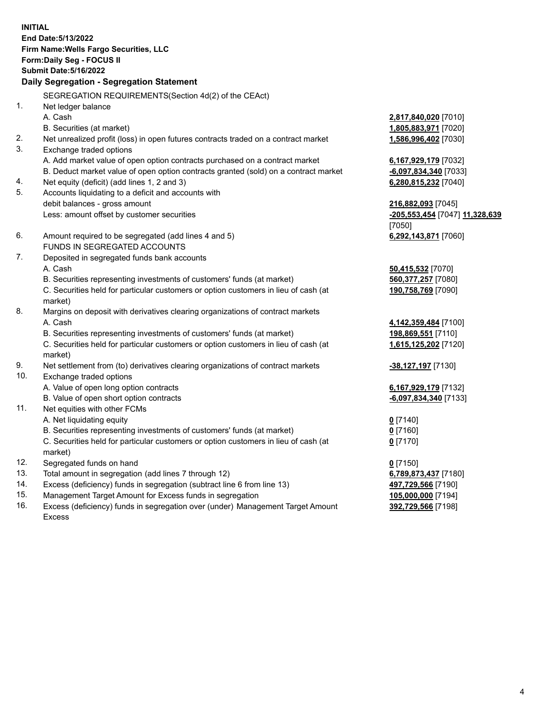**INITIAL End Date:5/13/2022 Firm Name:Wells Fargo Securities, LLC Form:Daily Seg - FOCUS II Submit Date:5/16/2022 Daily Segregation - Segregation Statement** SEGREGATION REQUIREMENTS(Section 4d(2) of the CEAct)

1. Net ledger balance A. Cash **2,817,840,020** [7010] B. Securities (at market) **1,805,883,971** [7020] 2. Net unrealized profit (loss) in open futures contracts traded on a contract market **1,586,996,402** [7030] 3. Exchange traded options A. Add market value of open option contracts purchased on a contract market **6,167,929,179** [7032] B. Deduct market value of open option contracts granted (sold) on a contract market **-6,097,834,340** [7033] 4. Net equity (deficit) (add lines 1, 2 and 3) **6,280,815,232** [7040] 5. Accounts liquidating to a deficit and accounts with debit balances - gross amount **216,882,093** [7045] Less: amount offset by customer securities **-205,553,454** [7047] **11,328,639** [7050] 6. Amount required to be segregated (add lines 4 and 5) **6,292,143,871** [7060] FUNDS IN SEGREGATED ACCOUNTS 7. Deposited in segregated funds bank accounts A. Cash **50,415,532** [7070] B. Securities representing investments of customers' funds (at market) **560,377,257** [7080] C. Securities held for particular customers or option customers in lieu of cash (at market) **190,758,769** [7090] 8. Margins on deposit with derivatives clearing organizations of contract markets A. Cash **4,142,359,484** [7100] B. Securities representing investments of customers' funds (at market) **198,869,551** [7110] C. Securities held for particular customers or option customers in lieu of cash (at market) **1,615,125,202** [7120] 9. Net settlement from (to) derivatives clearing organizations of contract markets **-38,127,197** [7130] 10. Exchange traded options A. Value of open long option contracts **6,167,929,179** [7132] B. Value of open short option contracts **and the set of our of the set of our of the set of our of the set of our of the set of our of the set of our of the set of the set of the set of the set of the set of the set of the** 11. Net equities with other FCMs A. Net liquidating equity **0** [7140] B. Securities representing investments of customers' funds (at market) **0** [7160] C. Securities held for particular customers or option customers in lieu of cash (at market) **0** [7170] 12. Segregated funds on hand **0** [7150] 13. Total amount in segregation (add lines 7 through 12) **6,789,873,437** [7180] 14. Excess (deficiency) funds in segregation (subtract line 6 from line 13) **497,729,566** [7190] 15. Management Target Amount for Excess funds in segregation **105,000,000** [7194] 16. Excess (deficiency) funds in segregation over (under) Management Target Amount Excess **392,729,566** [7198]